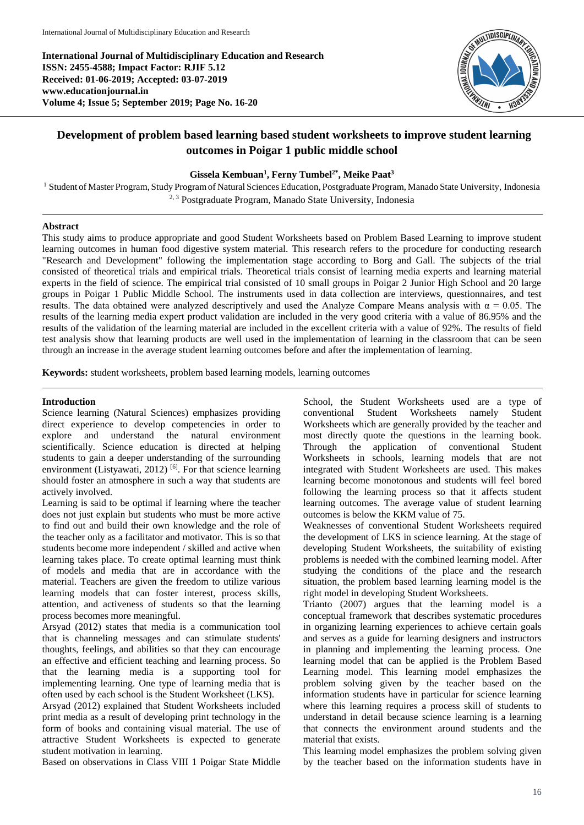**International Journal of Multidisciplinary Education and Research ISSN: 2455-4588; Impact Factor: RJIF 5.12 Received: 01-06-2019; Accepted: 03-07-2019 www.educationjournal.in Volume 4; Issue 5; September 2019; Page No. 16-20**



# **Development of problem based learning based student worksheets to improve student learning outcomes in Poigar 1 public middle school**

## **Gissela Kembuan<sup>1</sup> , Ferny Tumbel2\*, Meike Paat<sup>3</sup>**

<sup>1</sup> Student of Master Program, Study Program of Natural Sciences Education, Postgraduate Program, Manado State University, Indonesia <sup>2, 3</sup> Postgraduate Program, Manado State University, Indonesia

#### **Abstract**

This study aims to produce appropriate and good Student Worksheets based on Problem Based Learning to improve student learning outcomes in human food digestive system material. This research refers to the procedure for conducting research "Research and Development" following the implementation stage according to Borg and Gall. The subjects of the trial consisted of theoretical trials and empirical trials. Theoretical trials consist of learning media experts and learning material experts in the field of science. The empirical trial consisted of 10 small groups in Poigar 2 Junior High School and 20 large groups in Poigar 1 Public Middle School. The instruments used in data collection are interviews, questionnaires, and test results. The data obtained were analyzed descriptively and used the Analyze Compare Means analysis with  $\alpha = 0.05$ . The results of the learning media expert product validation are included in the very good criteria with a value of 86.95% and the results of the validation of the learning material are included in the excellent criteria with a value of 92%. The results of field test analysis show that learning products are well used in the implementation of learning in the classroom that can be seen through an increase in the average student learning outcomes before and after the implementation of learning.

**Keywords:** student worksheets, problem based learning models, learning outcomes

#### **Introduction**

Science learning (Natural Sciences) emphasizes providing direct experience to develop competencies in order to explore and understand the natural environment scientifically. Science education is directed at helping students to gain a deeper understanding of the surrounding environment (Listyawati, 2012) [6]. For that science learning should foster an atmosphere in such a way that students are actively involved.

Learning is said to be optimal if learning where the teacher does not just explain but students who must be more active to find out and build their own knowledge and the role of the teacher only as a facilitator and motivator. This is so that students become more independent / skilled and active when learning takes place. To create optimal learning must think of models and media that are in accordance with the material. Teachers are given the freedom to utilize various learning models that can foster interest, process skills, attention, and activeness of students so that the learning process becomes more meaningful.

Arsyad (2012) states that media is a communication tool that is channeling messages and can stimulate students' thoughts, feelings, and abilities so that they can encourage an effective and efficient teaching and learning process. So that the learning media is a supporting tool for implementing learning. One type of learning media that is often used by each school is the Student Worksheet (LKS).

Arsyad (2012) explained that Student Worksheets included print media as a result of developing print technology in the form of books and containing visual material. The use of attractive Student Worksheets is expected to generate student motivation in learning.

Based on observations in Class VIII 1 Poigar State Middle

School, the Student Worksheets used are a type of conventional Student Worksheets namely Student Worksheets which are generally provided by the teacher and most directly quote the questions in the learning book. Through the application of conventional Student Worksheets in schools, learning models that are not integrated with Student Worksheets are used. This makes learning become monotonous and students will feel bored following the learning process so that it affects student learning outcomes. The average value of student learning outcomes is below the KKM value of 75.

Weaknesses of conventional Student Worksheets required the development of LKS in science learning. At the stage of developing Student Worksheets, the suitability of existing problems is needed with the combined learning model. After studying the conditions of the place and the research situation, the problem based learning learning model is the right model in developing Student Worksheets.

Trianto (2007) argues that the learning model is a conceptual framework that describes systematic procedures in organizing learning experiences to achieve certain goals and serves as a guide for learning designers and instructors in planning and implementing the learning process. One learning model that can be applied is the Problem Based Learning model. This learning model emphasizes the problem solving given by the teacher based on the information students have in particular for science learning where this learning requires a process skill of students to understand in detail because science learning is a learning that connects the environment around students and the material that exists.

This learning model emphasizes the problem solving given by the teacher based on the information students have in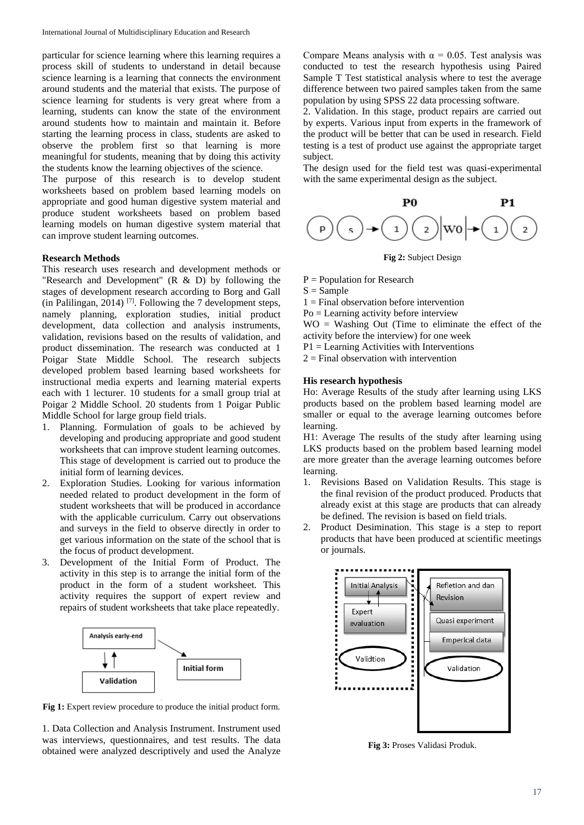particular for science learning where this learning requires a process skill of students to understand in detail because science learning is a learning that connects the environment around students and the material that exists. The purpose of science learning for students is very great where from a learning, students can know the state of the environment around students how to maintain and maintain it. Before starting the learning process in class, students are asked to observe the problem first so that learning is more meaningful for students, meaning that by doing this activity the students know the learning objectives of the science.

The purpose of this research is to develop student worksheets based on problem based learning models on appropriate and good human digestive system material and produce student worksheets based on problem based learning models on human digestive system material that can improve student learning outcomes.

#### **Research Methods**

This research uses research and development methods or "Research and Development"  $(R \& D)$  by following the stages of development research according to Borg and Gall (in Palilingan, 2014) [7]. Following the 7 development steps, namely planning, exploration studies, initial product development, data collection and analysis instruments, validation, revisions based on the results of validation, and product dissemination. The research was conducted at 1 Poigar State Middle School. The research subjects developed problem based learning based worksheets for instructional media experts and learning material experts each with 1 lecturer. 10 students for a small group trial at Poigar 2 Middle School. 20 students from 1 Poigar Public Middle School for large group field trials.

- 1. Planning. Formulation of goals to be achieved by developing and producing appropriate and good student worksheets that can improve student learning outcomes. This stage of development is carried out to produce the initial form of learning devices.
- 2. Exploration Studies. Looking for various information needed related to product development in the form of student worksheets that will be produced in accordance with the applicable curriculum. Carry out observations and surveys in the field to observe directly in order to get various information on the state of the school that is the focus of product development.
- 3. Development of the Initial Form of Product. The activity in this step is to arrange the initial form of the product in the form of a student worksheet. This activity requires the support of expert review and repairs of student worksheets that take place repeatedly.



. **Fig 1:** Expert review procedure to produce the initial product form.

1. Data Collection and Analysis Instrument. Instrument used was interviews, questionnaires, and test results. The data obtained were analyzed descriptively and used the Analyze

Compare Means analysis with  $\alpha = 0.05$ . Test analysis was conducted to test the research hypothesis using Paired Sample T Test statistical analysis where to test the average difference between two paired samples taken from the same population by using SPSS 22 data processing software.

2. Validation. In this stage, product repairs are carried out by experts. Various input from experts in the framework of the product will be better that can be used in research. Field testing is a test of product use against the appropriate target subject.

The design used for the field test was quasi-experimental with the same experimental design as the subject.



**Fig 2:** Subject Design

 $P =$  Population for Research

 $S =$ Sample

 $1 =$  Final observation before intervention

Po = Learning activity before interview

WO = Washing Out (Time to eliminate the effect of the activity before the interview) for one week

 $P1 =$  Learning Activities with Interventions

 $2 =$  Final observation with intervention

#### **His research hypothesis**

Ho: Average Results of the study after learning using LKS products based on the problem based learning model are smaller or equal to the average learning outcomes before learning.

H1: Average The results of the study after learning using LKS products based on the problem based learning model are more greater than the average learning outcomes before learning.

- 1. Revisions Based on Validation Results. This stage is the final revision of the product produced. Products that already exist at this stage are products that can already be defined. The revision is based on field trials.
- 2. Product Desimination. This stage is a step to report products that have been produced at scientific meetings or journals.



**Fig 3:** Proses Validasi Produk.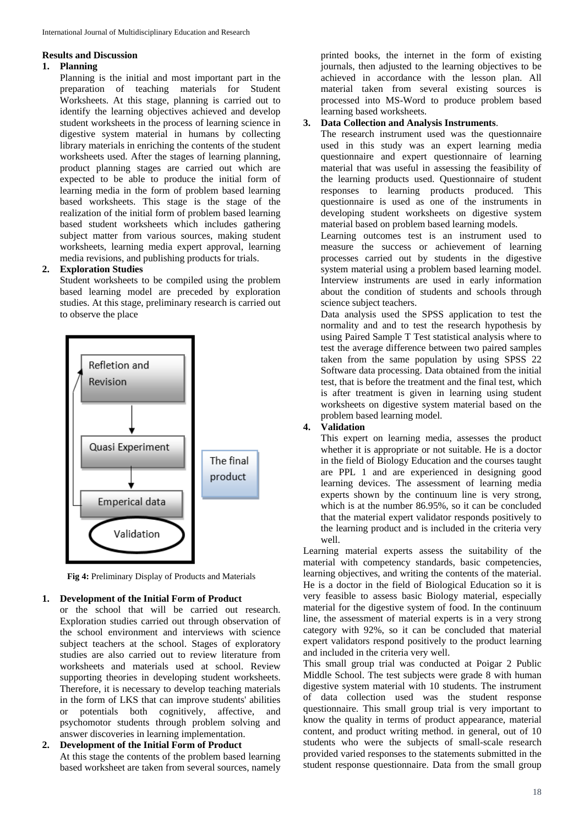#### **Results and Discussion**

### **1. Planning**

Planning is the initial and most important part in the preparation of teaching materials for Student Worksheets. At this stage, planning is carried out to identify the learning objectives achieved and develop student worksheets in the process of learning science in digestive system material in humans by collecting library materials in enriching the contents of the student worksheets used. After the stages of learning planning, product planning stages are carried out which are expected to be able to produce the initial form of learning media in the form of problem based learning based worksheets. This stage is the stage of the realization of the initial form of problem based learning based student worksheets which includes gathering subject matter from various sources, making student worksheets, learning media expert approval, learning media revisions, and publishing products for trials.

## **2. Exploration Studies**

Student worksheets to be compiled using the problem based learning model are preceded by exploration studies. At this stage, preliminary research is carried out to observe the place



**Fig 4:** Preliminary Display of Products and Materials

## **1. Development of the Initial Form of Product**

or the school that will be carried out research. Exploration studies carried out through observation of the school environment and interviews with science subject teachers at the school. Stages of exploratory studies are also carried out to review literature from worksheets and materials used at school. Review supporting theories in developing student worksheets. Therefore, it is necessary to develop teaching materials in the form of LKS that can improve students' abilities or potentials both cognitively, affective, and psychomotor students through problem solving and answer discoveries in learning implementation.

**2. Development of the Initial Form of Product** At this stage the contents of the problem based learning based worksheet are taken from several sources, namely

printed books, the internet in the form of existing journals, then adjusted to the learning objectives to be achieved in accordance with the lesson plan. All material taken from several existing sources is processed into MS-Word to produce problem based learning based worksheets.

# **3. Data Collection and Analysis Instruments**.

The research instrument used was the questionnaire used in this study was an expert learning media questionnaire and expert questionnaire of learning material that was useful in assessing the feasibility of the learning products used. Questionnaire of student responses to learning products produced. This questionnaire is used as one of the instruments in developing student worksheets on digestive system material based on problem based learning models.

Learning outcomes test is an instrument used to measure the success or achievement of learning processes carried out by students in the digestive system material using a problem based learning model. Interview instruments are used in early information about the condition of students and schools through science subject teachers.

Data analysis used the SPSS application to test the normality and and to test the research hypothesis by using Paired Sample T Test statistical analysis where to test the average difference between two paired samples taken from the same population by using SPSS 22 Software data processing. Data obtained from the initial test, that is before the treatment and the final test, which is after treatment is given in learning using student worksheets on digestive system material based on the problem based learning model.

# **4. Validation**

This expert on learning media, assesses the product whether it is appropriate or not suitable. He is a doctor in the field of Biology Education and the courses taught are PPL 1 and are experienced in designing good learning devices. The assessment of learning media experts shown by the continuum line is very strong, which is at the number 86.95%, so it can be concluded that the material expert validator responds positively to the learning product and is included in the criteria very well.

Learning material experts assess the suitability of the material with competency standards, basic competencies, learning objectives, and writing the contents of the material. He is a doctor in the field of Biological Education so it is very feasible to assess basic Biology material, especially material for the digestive system of food. In the continuum line, the assessment of material experts is in a very strong category with 92%, so it can be concluded that material expert validators respond positively to the product learning and included in the criteria very well.

This small group trial was conducted at Poigar 2 Public Middle School. The test subjects were grade 8 with human digestive system material with 10 students. The instrument of data collection used was the student response questionnaire. This small group trial is very important to know the quality in terms of product appearance, material content, and product writing method. in general, out of 10 students who were the subjects of small-scale research provided varied responses to the statements submitted in the student response questionnaire. Data from the small group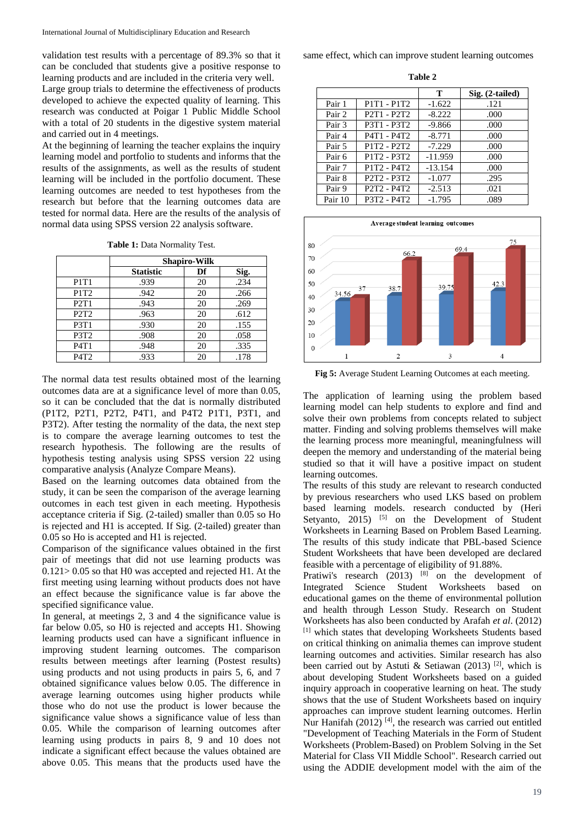validation test results with a percentage of 89.3% so that it can be concluded that students give a positive response to learning products and are included in the criteria very well.

Large group trials to determine the effectiveness of products developed to achieve the expected quality of learning. This research was conducted at Poigar 1 Public Middle School with a total of 20 students in the digestive system material and carried out in 4 meetings.

At the beginning of learning the teacher explains the inquiry learning model and portfolio to students and informs that the results of the assignments, as well as the results of student learning will be included in the portfolio document. These learning outcomes are needed to test hypotheses from the research but before that the learning outcomes data are tested for normal data. Here are the results of the analysis of normal data using SPSS version 22 analysis software.

**Table 1:** Data Normality Test.

|                               | <b>Shapiro-Wilk</b> |    |      |
|-------------------------------|---------------------|----|------|
|                               | <b>Statistic</b>    | Df | Sig. |
| P <sub>1</sub> T <sub>1</sub> | .939                | 20 | .234 |
| P1T <sub>2</sub>              | .942                | 20 | .266 |
| P2T1                          | .943                | 20 | .269 |
| P <sub>2</sub> T <sub>2</sub> | .963                | 20 | .612 |
| P3T1                          | .930                | 20 | .155 |
| P3T <sub>2</sub>              | .908                | 20 | .058 |
| P4T1                          | .948                | 20 | .335 |
| P4T <sub>2</sub>              | .933                | 20 | .178 |

The normal data test results obtained most of the learning outcomes data are at a significance level of more than 0.05, so it can be concluded that the dat is normally distributed (P1T2, P2T1, P2T2, P4T1, and P4T2 P1T1, P3T1, and P3T2). After testing the normality of the data, the next step is to compare the average learning outcomes to test the research hypothesis. The following are the results of hypothesis testing analysis using SPSS version 22 using comparative analysis (Analyze Compare Means).

Based on the learning outcomes data obtained from the study, it can be seen the comparison of the average learning outcomes in each test given in each meeting. Hypothesis acceptance criteria if Sig. (2-tailed) smaller than 0.05 so Ho is rejected and H1 is accepted. If Sig. (2-tailed) greater than 0.05 so Ho is accepted and H1 is rejected.

Comparison of the significance values obtained in the first pair of meetings that did not use learning products was 0.121> 0.05 so that H0 was accepted and rejected H1. At the first meeting using learning without products does not have an effect because the significance value is far above the specified significance value.

In general, at meetings 2, 3 and 4 the significance value is far below 0.05, so H0 is rejected and accepts H1. Showing learning products used can have a significant influence in improving student learning outcomes. The comparison results between meetings after learning (Postest results) using products and not using products in pairs 5, 6, and 7 obtained significance values below 0.05. The difference in average learning outcomes using higher products while those who do not use the product is lower because the significance value shows a significance value of less than 0.05. While the comparison of learning outcomes after learning using products in pairs 8, 9 and 10 does not indicate a significant effect because the values obtained are above 0.05. This means that the products used have the

same effect, which can improve student learning outcomes

**Table 2**

|         |                                                               | Т         | $Sig. (2-tailed)$ |
|---------|---------------------------------------------------------------|-----------|-------------------|
| Pair 1  | P1T1 - P1T2                                                   | $-1.622$  | .121              |
| Pair 2  | P <sub>2T1</sub> - P <sub>2T2</sub>                           | $-8.222$  | .000              |
| Pair 3  | P3T1 - P3T2                                                   | $-9.866$  | .000              |
| Pair 4  | P4T1 - P4T2                                                   | $-8.771$  | .000              |
| Pair 5  | P1T2 - P2T2                                                   | $-7.229$  | .000              |
| Pair 6  | P1T2 - P3T2                                                   | $-11.959$ | .000              |
| Pair 7  | P1T2 - P4T2                                                   | $-13.154$ | .000              |
| Pair 8  | P2T2 - P3T2                                                   | $-1.077$  | .295              |
| Pair 9  | P <sub>2</sub> T <sub>2</sub> - P <sub>4</sub> T <sub>2</sub> | $-2.513$  | .021              |
| Pair 10 | P3T2 - P4T2                                                   | $-1.795$  | .089              |



**Fig 5:** Average Student Learning Outcomes at each meeting.

The application of learning using the problem based learning model can help students to explore and find and solve their own problems from concepts related to subject matter. Finding and solving problems themselves will make the learning process more meaningful, meaningfulness will deepen the memory and understanding of the material being studied so that it will have a positive impact on student learning outcomes.

The results of this study are relevant to research conducted by previous researchers who used LKS based on problem based learning models. research conducted by (Heri Setyanto,  $2015$ ) <sup>[5]</sup> on the Development of Student Worksheets in Learning Based on Problem Based Learning. The results of this study indicate that PBL-based Science Student Worksheets that have been developed are declared feasible with a percentage of eligibility of 91.88%.

Pratiwi's research  $(2013)$  [8] on the development of Integrated Science Student Worksheets based on educational games on the theme of environmental pollution and health through Lesson Study. Research on Student Worksheets has also been conducted by Arafah *et al*. (2012) [1] which states that developing Worksheets Students based on critical thinking on animalia themes can improve student learning outcomes and activities. Similar research has also been carried out by Astuti & Setiawan (2013) <sup>[2]</sup>, which is about developing Student Worksheets based on a guided inquiry approach in cooperative learning on heat. The study shows that the use of Student Worksheets based on inquiry approaches can improve student learning outcomes. Herlin Nur Hanifah  $(2012)$ <sup>[4]</sup>, the research was carried out entitled "Development of Teaching Materials in the Form of Student Worksheets (Problem-Based) on Problem Solving in the Set Material for Class VII Middle School". Research carried out using the ADDIE development model with the aim of the